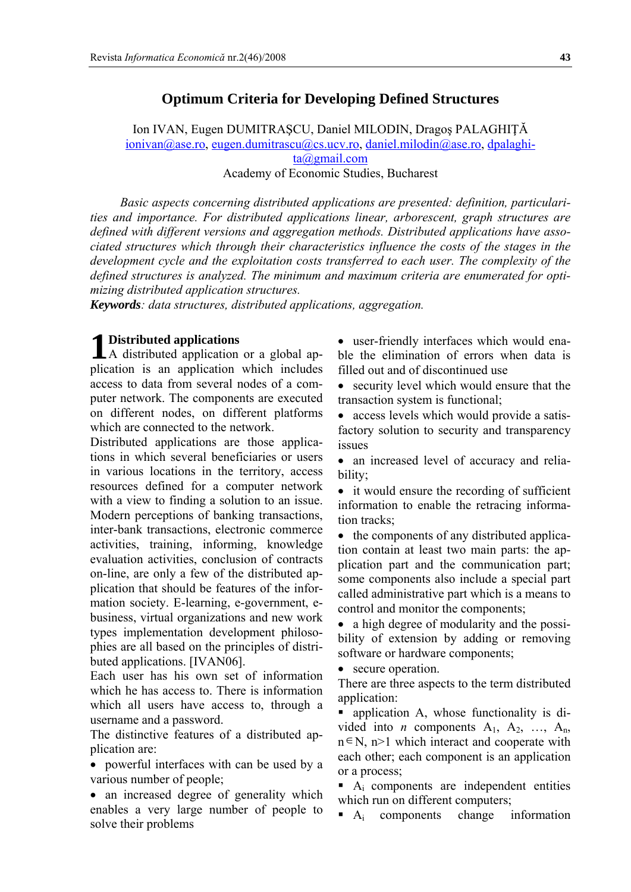# **Optimum Criteria for Developing Defined Structures**

Ion IVAN, Eugen DUMITRAŞCU, Daniel MILODIN, Dragoş PALAGHIŢĂ  $\overline{\text{ionivan}(a)}$  ase.ro, eugen.dumitrascu $(a)$ cs.ucv.ro, daniel.milodin $(a)$  ase.ro, dpalaghita@gmail.com Academy of Economic Studies, Bucharest

*Basic aspects concerning distributed applications are presented: definition, particularities and importance. For distributed applications linear, arborescent, graph structures are defined with different versions and aggregation methods. Distributed applications have associated structures which through their characteristics influence the costs of the stages in the development cycle and the exploitation costs transferred to each user. The complexity of the defined structures is analyzed. The minimum and maximum criteria are enumerated for optimizing distributed application structures.* 

*Keywords: data structures, distributed applications, aggregation.* 

## **Distributed applications**

A distributed application or a global ap-**1** plication is an application which includes access to data from several nodes of a computer network. The components are executed on different nodes, on different platforms which are connected to the network.

Distributed applications are those applications in which several beneficiaries or users in various locations in the territory, access resources defined for a computer network with a view to finding a solution to an issue. Modern perceptions of banking transactions, inter-bank transactions, electronic commerce activities, training, informing, knowledge evaluation activities, conclusion of contracts on-line, are only a few of the distributed application that should be features of the information society. E-learning, e-government, ebusiness, virtual organizations and new work types implementation development philosophies are all based on the principles of distributed applications. [IVAN06].

Each user has his own set of information which he has access to. There is information which all users have access to, through a username and a password.

The distinctive features of a distributed application are:

• powerful interfaces with can be used by a various number of people;

• an increased degree of generality which enables a very large number of people to solve their problems

• user-friendly interfaces which would enable the elimination of errors when data is filled out and of discontinued use

• security level which would ensure that the transaction system is functional;

• access levels which would provide a satisfactory solution to security and transparency issues

• an increased level of accuracy and reliability;

• it would ensure the recording of sufficient information to enable the retracing information tracks;

• the components of any distributed application contain at least two main parts: the application part and the communication part; some components also include a special part called administrative part which is a means to control and monitor the components;

• a high degree of modularity and the possibility of extension by adding or removing software or hardware components;

• secure operation.

There are three aspects to the term distributed application:

• application A, whose functionality is divided into *n* components  $A_1$ ,  $A_2$ , ...,  $A_n$ , n∈N, n>1 which interact and cooperate with each other; each component is an application or a process;

 $\blacksquare$  A<sub>i</sub> components are independent entities which run on different computers;

 $\blacksquare$  A<sub>i</sub> components change information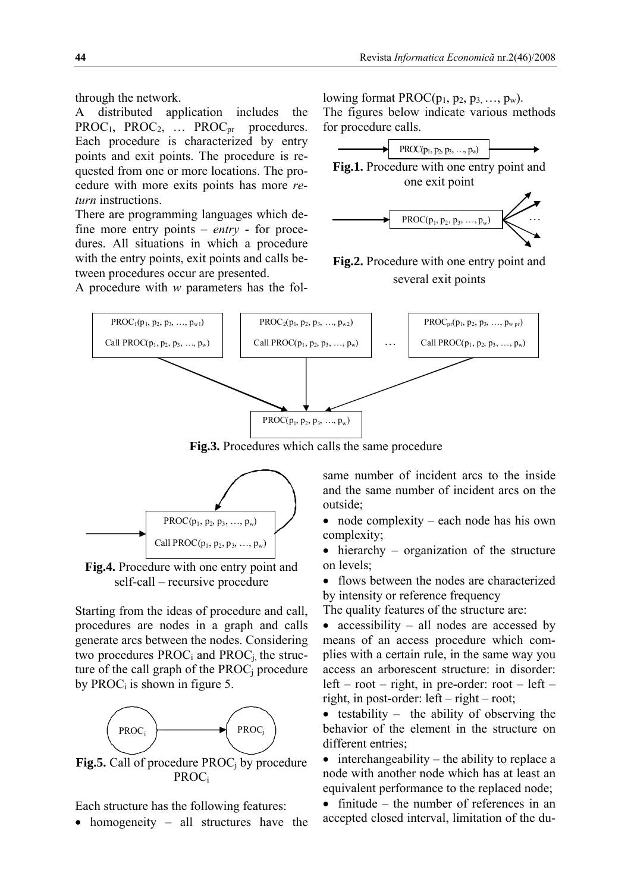through the network.

A distributed application includes the  $PROC<sub>1</sub>$ ,  $PROC<sub>2</sub>$ , ...  $PROC<sub>pr</sub>$  procedures. Each procedure is characterized by entry points and exit points. The procedure is requested from one or more locations. The procedure with more exits points has more *return* instructions.

There are programming languages which define more entry points – *entry* - for procedures. All situations in which a procedure with the entry points, exit points and calls between procedures occur are presented.

A procedure with *w* parameters has the fol-

lowing format  $PROC(p_1, p_2, p_3, \ldots, p_w)$ . The figures below indicate various methods for procedure calls.



**Fig.2.** Procedure with one entry point and several exit points



**Fig.3.** Procedures which calls the same procedure



**Fig.4.** Procedure with one entry point and self-call – recursive procedure

Starting from the ideas of procedure and call, procedures are nodes in a graph and calls generate arcs between the nodes. Considering two procedures  $PROC_i$  and  $PROC_j$  the structure of the call graph of the  $PROC<sub>i</sub>$  procedure by PROC<sub>i</sub> is shown in figure 5.



**Fig.5.** Call of procedure PROC<sub>i</sub> by procedure PROCi

Each structure has the following features:

• homogeneity – all structures have the

same number of incident arcs to the inside and the same number of incident arcs on the outside;

- node complexity each node has his own complexity;
- hierarchy organization of the structure on levels;

• flows between the nodes are characterized by intensity or reference frequency

The quality features of the structure are:

• accessibility – all nodes are accessed by means of an access procedure which complies with a certain rule, in the same way you access an arborescent structure: in disorder:  $left – root – right, in pre-order: root – left –$ right, in post-order: left – right – root;

• testability – the ability of observing the behavior of the element in the structure on different entries;

 $\bullet$  interchangeability – the ability to replace a node with another node which has at least an equivalent performance to the replaced node;

• finitude – the number of references in an accepted closed interval, limitation of the du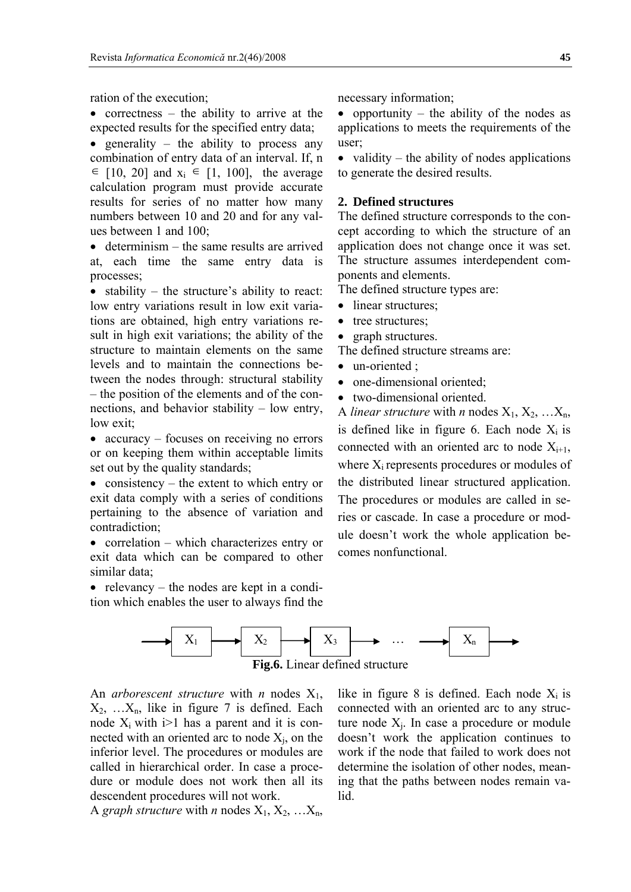ration of the execution;

• correctness – the ability to arrive at the expected results for the specified entry data;

• generality – the ability to process any combination of entry data of an interval. If, n  $\in$  [10, 20] and  $x_i \in$  [1, 100], the average calculation program must provide accurate results for series of no matter how many numbers between 10 and 20 and for any values between 1 and 100;

• determinism – the same results are arrived at, each time the same entry data is processes;

• stability – the structure's ability to react: low entry variations result in low exit variations are obtained, high entry variations result in high exit variations; the ability of the structure to maintain elements on the same levels and to maintain the connections between the nodes through: structural stability – the position of the elements and of the connections, and behavior stability – low entry, low exit;

• accuracy – focuses on receiving no errors or on keeping them within acceptable limits set out by the quality standards;

• consistency – the extent to which entry or exit data comply with a series of conditions pertaining to the absence of variation and contradiction;

• correlation – which characterizes entry or exit data which can be compared to other similar data;

• relevancy – the nodes are kept in a condition which enables the user to always find the necessary information;

• opportunity – the ability of the nodes as applications to meets the requirements of the user;

• validity – the ability of nodes applications to generate the desired results.

#### **2. Defined structures**

The defined structure corresponds to the concept according to which the structure of an application does not change once it was set. The structure assumes interdependent components and elements.

The defined structure types are:

- linear structures;
- tree structures;
- graph structures.
- The defined structure streams are:
- $\bullet$  un-oriented  $\cdot$
- one-dimensional oriented;
- two-dimensional oriented.

A *linear structure* with *n* nodes  $X_1, X_2, ... X_n$ , is defined like in figure 6. Each node  $X_i$  is connected with an oriented arc to node  $X_{i+1}$ , where  $X_i$  represents procedures or modules of the distributed linear structured application. The procedures or modules are called in series or cascade. In case a procedure or module doesn't work the whole application becomes nonfunctional.



An *arborescent structure* with *n* nodes  $X_1$ ,  $X_2, \ldots, X_n$ , like in figure 7 is defined. Each node  $X_i$  with  $i>1$  has a parent and it is connected with an oriented arc to node  $X_i$ , on the inferior level. The procedures or modules are called in hierarchical order. In case a procedure or module does not work then all its descendent procedures will not work.

A *graph structure* with *n* nodes  $X_1, X_2, ... X_n$ ,

like in figure 8 is defined. Each node  $X_i$  is connected with an oriented arc to any structure node  $X_i$ . In case a procedure or module doesn't work the application continues to work if the node that failed to work does not determine the isolation of other nodes, meaning that the paths between nodes remain valid.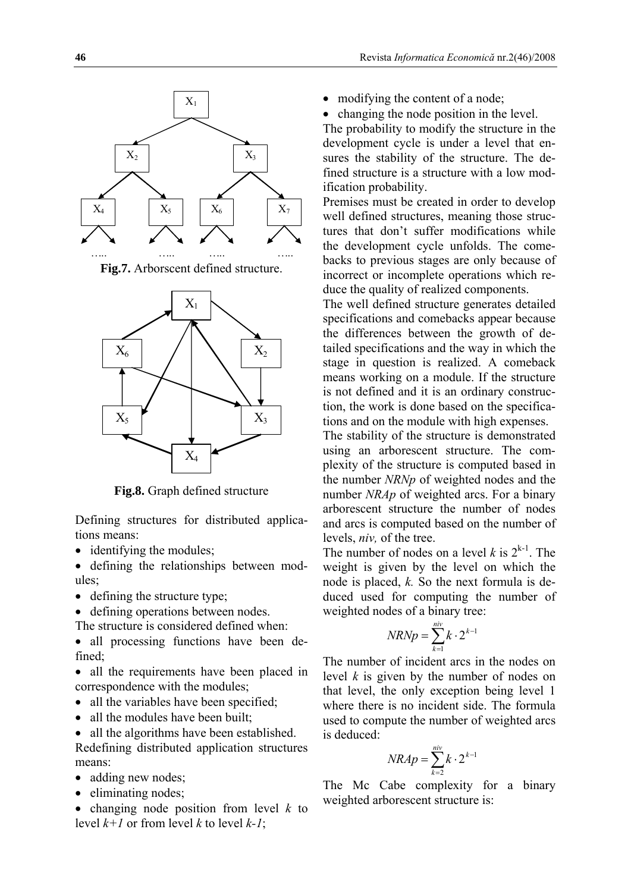

**Fig.7.** Arborscent defined structure.



**Fig.8.** Graph defined structure

Defining structures for distributed applications means:

- identifying the modules;
- defining the relationships between modules;
- defining the structure type;

• defining operations between nodes.

The structure is considered defined when:

• all processing functions have been defined;

• all the requirements have been placed in correspondence with the modules;

- all the variables have been specified;
- all the modules have been built:

• all the algorithms have been established. Redefining distributed application structures means:

- adding new nodes;
- eliminating nodes;
- changing node position from level *k* to level  $k+1$  or from level k to level  $k-1$ ;
- modifying the content of a node;
- changing the node position in the level.

The probability to modify the structure in the development cycle is under a level that ensures the stability of the structure. The defined structure is a structure with a low modification probability.

Premises must be created in order to develop well defined structures, meaning those structures that don't suffer modifications while the development cycle unfolds. The comebacks to previous stages are only because of incorrect or incomplete operations which reduce the quality of realized components.

The well defined structure generates detailed specifications and comebacks appear because the differences between the growth of detailed specifications and the way in which the stage in question is realized. A comeback means working on a module. If the structure is not defined and it is an ordinary construction, the work is done based on the specifications and on the module with high expenses.

The stability of the structure is demonstrated using an arborescent structure. The complexity of the structure is computed based in the number *NRNp* of weighted nodes and the number *NRAp* of weighted arcs. For a binary arborescent structure the number of nodes and arcs is computed based on the number of levels, *niv,* of the tree.

The number of nodes on a level  $k$  is  $2^{k-1}$ . The weight is given by the level on which the node is placed, *k.* So the next formula is deduced used for computing the number of weighted nodes of a binary tree:

$$
N R N p = \sum_{k=1}^{niv} k \cdot 2^{k-1}
$$

The number of incident arcs in the nodes on level *k* is given by the number of nodes on that level, the only exception being level 1 where there is no incident side. The formula used to compute the number of weighted arcs is deduced:

$$
NRAp = \sum_{k=2}^{niv} k \cdot 2^{k-1}
$$

The Mc Cabe complexity for a binary weighted arborescent structure is: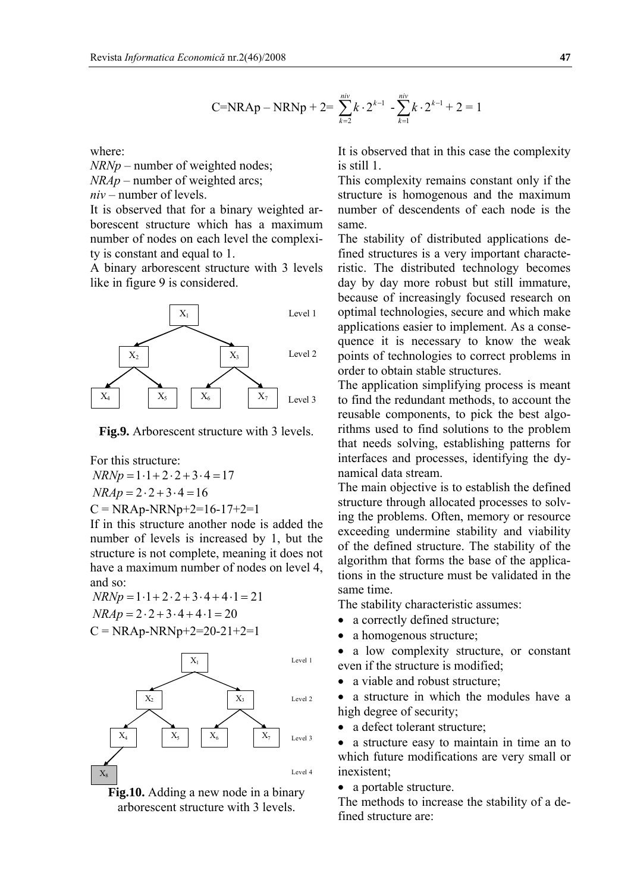$$
C=NRAp-NRNp+2=\sum_{k=2}^{niv}k\cdot 2^{k-1}-\sum_{k=1}^{niv}k\cdot 2^{k-1}+2=1
$$

where:

*NRNp* – number of weighted nodes;

*NRAp* – number of weighted arcs;

*niv* – number of levels.

It is observed that for a binary weighted arborescent structure which has a maximum number of nodes on each level the complexity is constant and equal to 1.

A binary arborescent structure with 3 levels like in figure 9 is considered.



**Fig.9.** Arborescent structure with 3 levels.

For this structure:

 $N R N p = 1 \cdot 1 + 2 \cdot 2 + 3 \cdot 4 = 17$  $NRAp = 2 \cdot 2 + 3 \cdot 4 = 16$  $C = NRAp-NRNp+2=16-17+2=1$ 

If in this structure another node is added the number of levels is increased by 1, but the structure is not complete, meaning it does not have a maximum number of nodes on level 4, and so:

 $NR N p = 1 \cdot 1 + 2 \cdot 2 + 3 \cdot 4 + 4 \cdot 1 = 21$  $NRAp = 2 \cdot 2 + 3 \cdot 4 + 4 \cdot 1 = 20$  $C = NRAp-NRNp+2=20-21+2=1$ 



**Fig.10.** Adding a new node in a binary arborescent structure with 3 levels.

It is observed that in this case the complexity is still 1.

This complexity remains constant only if the structure is homogenous and the maximum number of descendents of each node is the same.

The stability of distributed applications defined structures is a very important characteristic. The distributed technology becomes day by day more robust but still immature, because of increasingly focused research on optimal technologies, secure and which make applications easier to implement. As a consequence it is necessary to know the weak points of technologies to correct problems in order to obtain stable structures.

The application simplifying process is meant to find the redundant methods, to account the reusable components, to pick the best algorithms used to find solutions to the problem that needs solving, establishing patterns for interfaces and processes, identifying the dynamical data stream.

The main objective is to establish the defined structure through allocated processes to solving the problems. Often, memory or resource exceeding undermine stability and viability of the defined structure. The stability of the algorithm that forms the base of the applications in the structure must be validated in the same time.

The stability characteristic assumes:

- a correctly defined structure;
- a homogenous structure;

• a low complexity structure, or constant even if the structure is modified;

a viable and robust structure;

• a structure in which the modules have a high degree of security;

• a defect tolerant structure:

• a structure easy to maintain in time an to which future modifications are very small or inexistent;

• a portable structure.

The methods to increase the stability of a defined structure are: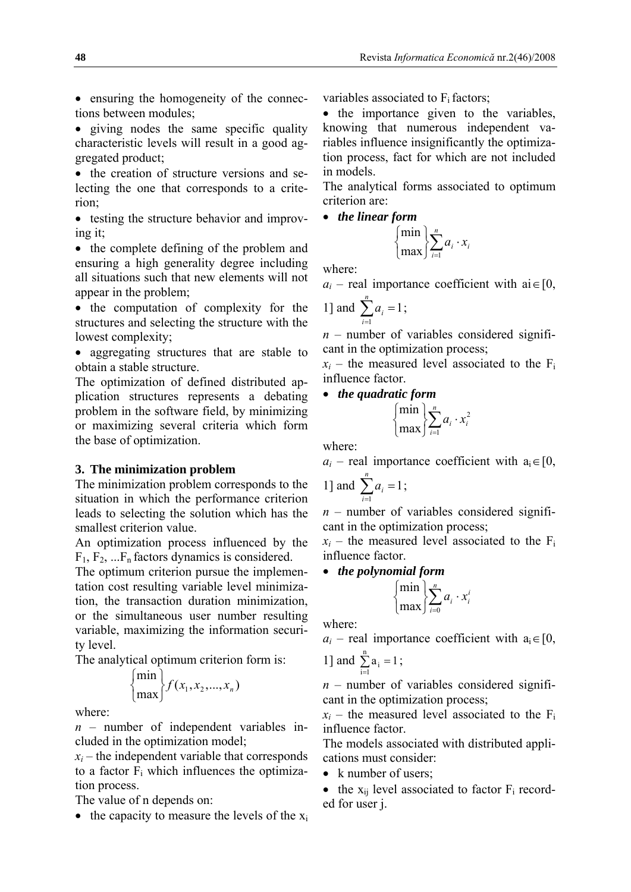• ensuring the homogeneity of the connections between modules;

• giving nodes the same specific quality characteristic levels will result in a good aggregated product;

• the creation of structure versions and selecting the one that corresponds to a criterion;

• testing the structure behavior and improving it;

• the complete defining of the problem and ensuring a high generality degree including all situations such that new elements will not appear in the problem;

• the computation of complexity for the structures and selecting the structure with the lowest complexity;

• aggregating structures that are stable to obtain a stable structure.

The optimization of defined distributed application structures represents a debating problem in the software field, by minimizing or maximizing several criteria which form the base of optimization.

# **3. The minimization problem**

The minimization problem corresponds to the situation in which the performance criterion leads to selecting the solution which has the smallest criterion value.

An optimization process influenced by the  $F_1, F_2, \ldots F_n$  factors dynamics is considered.

The optimum criterion pursue the implementation cost resulting variable level minimization, the transaction duration minimization, or the simultaneous user number resulting variable, maximizing the information security level.

The analytical optimum criterion form is:

$$
\begin{cases} \min \\ \max \end{cases} f(x_1, x_2, ..., x_n)
$$

where:

*n* – number of independent variables included in the optimization model;

 $x_i$  – the independent variable that corresponds to a factor  $F_i$  which influences the optimization process.

The value of n depends on:

• the capacity to measure the levels of the  $x_i$ 

variables associated to  $F_i$  factors;

• the importance given to the variables, knowing that numerous independent variables influence insignificantly the optimization process, fact for which are not included in models.

The analytical forms associated to optimum criterion are:

• *the linear form* 

$$
\begin{cases} \min \left( \sum_{i=1}^{n} a_i \cdot x_i \right) \end{cases}
$$

where:

 $a_i$  – real importance coefficient with ai  $\in$  [0,

1] and 
$$
\sum_{i=1}^{n} a_i = 1;
$$

 $n$  – number of variables considered significant in the optimization process;

 $x_i$  – the measured level associated to the  $F_i$ influence factor.

• *the quadratic form* 

$$
\begin{cases} \min \left( \sum_{i=1}^{n} a_i \cdot x_i^2 \right) \\ \max \left( \sum_{i=1}^{n} a_i \cdot x_i^2 \right) \end{cases}
$$

where:

 $a_i$  – real importance coefficient with  $a_i \in [0, 1]$ 

1] and 
$$
\sum_{i=1}^{n} a_i = 1
$$
;

*n* – number of variables considered significant in the optimization process;

 $x_i$  – the measured level associated to the  $F_i$ influence factor.

• *the polynomial form* 

$$
\begin{cases} \min \left( \sum_{i=0}^{n} a_i \cdot x_i^i \right) \\ \max \left( \sum_{i=0}^{n} a_i \cdot x_i^i \right) \end{cases}
$$

where:

 $a_i$  – real importance coefficient with  $a_i \in [0, 1]$ 

1] and 
$$
\sum_{i=1}^{n} a_i = 1
$$
;

*n* – number of variables considered significant in the optimization process;

 $x_i$  – the measured level associated to the  $F_i$ influence factor.

The models associated with distributed applications must consider:

• k number of users;

• the  $x_{ij}$  level associated to factor  $F_i$  recorded for user j.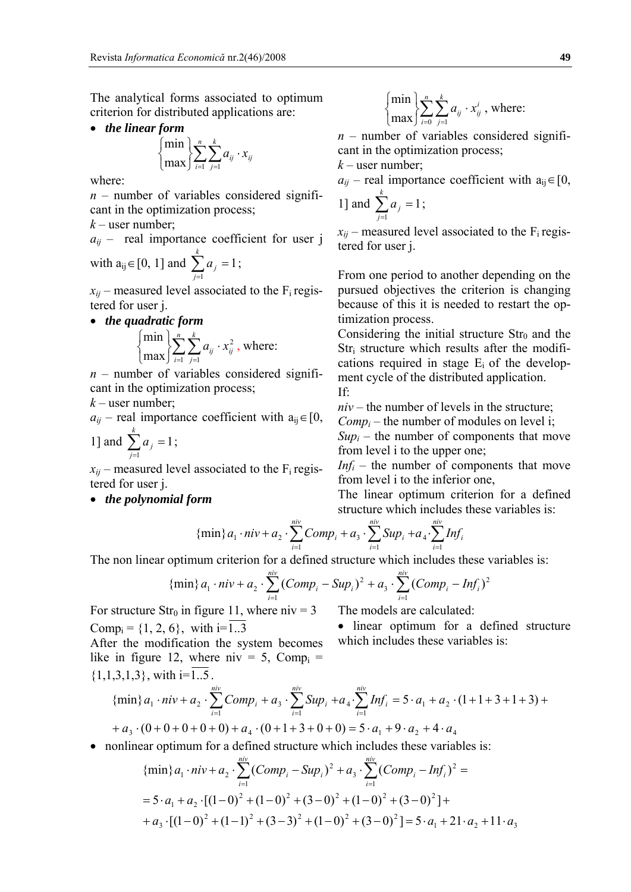The analytical forms associated to optimum criterion for distributed applications are:

• *the linear form* 

 $\overline{a}$ ⎨

$$
{\begin{Bmatrix} \min \\\max \end{Bmatrix}} \sum_{i=1}^{n} \sum_{j=1}^{k} a_{ij} \cdot x_{ij}
$$

where:

 $n$  – number of variables considered significant in the optimization process;

 $k$  – user number;

 $a_{ii}$  – real importance coefficient for user j with  $a_{ij}$  ∈ [0, 1] and  $\sum_{j=1}^{k} a_j =$  $a_j = 1;$ 

$$
x_{ij}
$$
 – measured level associated to the

- $F_i$  registered for user j.
- *the quadratic form*   $\sum_{i=1}$   $\sum_{j=1}$   $a_{ij}$ . ⎭  $\left\{ \right\}$  $\vert$  $\overline{a}$ ⎨  $\lceil \min \rceil$ *i k j*  $a_{ij} \cdot x_{ij}^2$  $-1$   $j=1$ 2 max  $\min \left\{\sum_{i=1}^{n} \sum_{i=1}^{k} a_{ii} \cdot x_{ii}^{2}\right\}$ , where:

 $n$  – number of variables considered significant in the optimization process;

 $k$  – user number;

$$
a_{ij}
$$
 – real importance coefficient with  $a_{ij} \in [0, 1]$  and  $\sum_{j=1}^{k} a_j = 1$ ;

 $x_{ii}$  – measured level associated to the  $F_i$  registered for user j.

• *the polynomial form* 

$$
\begin{cases}\n\min \left( \sum_{i=0}^{n} \sum_{j=1}^{k} a_{ij} \cdot x_{ij}^{i} \right),\n\text{ where:} \\
\end{cases}
$$

 $n$  – number of variables considered significant in the optimization process;

 $k$  – user number;

*j*

1

 $a_{ii}$  – real importance coefficient with  $a_{ii} \in [0, 1]$ 1] and  $\sum_{j=1}^{k} a_j =$  $a_j$ 1;

 $x_{ii}$  – measured level associated to the  $F_i$  registered for user j.

From one period to another depending on the pursued objectives the criterion is changing because of this it is needed to restart the optimization process.

Considering the initial structure  $Str_0$  and the  $Str_i$  structure which results after the modifications required in stage  $E_i$  of the development cycle of the distributed application. If:

*niv* – the number of levels in the structure;

*Compi* – the number of modules on level i;

 $Sup_i$  – the number of components that move from level i to the upper one;

*Infi* – the number of components that move from level i to the inferior one,

The linear optimum criterion for a defined structure which includes these variables is:

{min}
$$
a_1 \cdot niv + a_2 \cdot \sum_{i=1}^{niv} Comp_i + a_3 \cdot \sum_{i=1}^{niv} Sup_i + a_4 \cdot \sum_{i=1}^{niv} Inf_i
$$

The non linear optimum criterion for a defined structure which includes these variables is:

{min}
$$
a_1 \cdot niv + a_2 \cdot \sum_{i=1}^{niv} (Comp_i - Sup_i)^2 + a_3 \cdot \sum_{i=1}^{niv} (Comp_i - Inf_i)^2
$$

For structure  $Str_0$  in figure 11, where niv = 3 Comp<sub>i</sub> =  $\{1, 2, 6\}$ , with i= $\overline{1..3}$ 

The models are calculated:

• linear optimum for a defined structure which includes these variables is:

After the modification the system becomes like in figure 12, where  $\text{div} = 5$ , Comp<sub>i</sub> =  $\{1,1,3,1,3\}$ , with  $i=\overline{1.5}$ .

{min}
$$
a_1 \cdot niv + a_2 \cdot \sum_{i=1}^{niv} Comp_i + a_3 \cdot \sum_{i=1}^{niv} Sup_i + a_4 \cdot \sum_{i=1}^{niv} Inf_i = 5 \cdot a_1 + a_2 \cdot (1 + 1 + 3 + 1 + 3) ++ a_3 \cdot (0 + 0 + 0 + 0 + 0) + a_4 \cdot (0 + 1 + 3 + 0 + 0) = 5 \cdot a_1 + 9 \cdot a_2 + 4 \cdot a_4
$$

• nonlinear optimum for a defined structure which includes these variables is:

{min}
$$
a_1 \cdot niv + a_2 \cdot \sum_{i=1}^{niv} (Comp_i - Sup_i)^2 + a_3 \cdot \sum_{i=1}^{niv} (Comp_i - Inf_i)^2 =
$$
  
=  $5 \cdot a_1 + a_2 \cdot [(1-0)^2 + (1-0)^2 + (3-0)^2 + (1-0)^2 + (3-0)^2] +$   
+  $a_3 \cdot [(1-0)^2 + (1-1)^2 + (3-3)^2 + (1-0)^2 + (3-0)^2] = 5 \cdot a_1 + 21 \cdot a_2 + 11 \cdot a_3$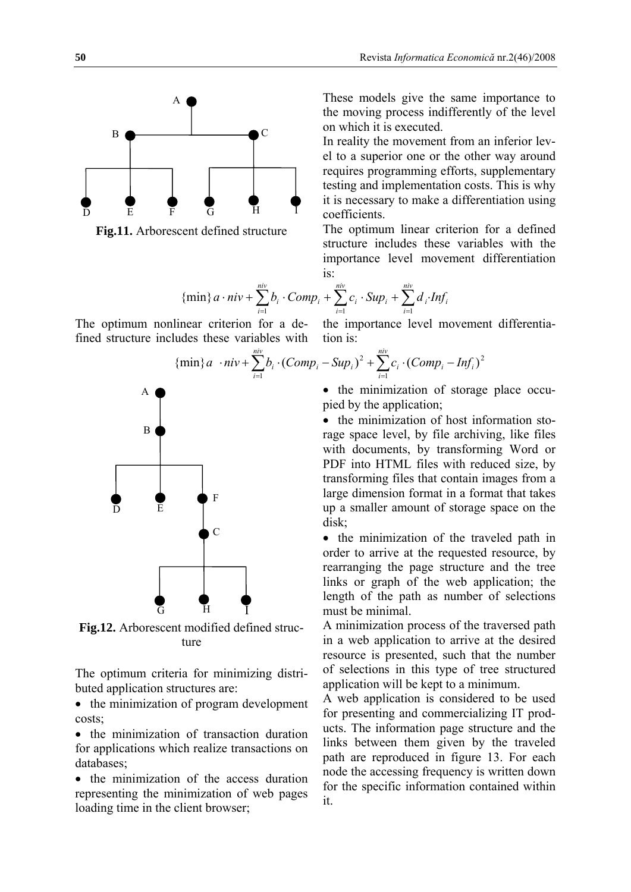

**Fig.11.** Arborescent defined structure

These models give the same importance to the moving process indifferently of the level on which it is executed.

In reality the movement from an inferior level to a superior one or the other way around requires programming efforts, supplementary testing and implementation costs. This is why it is necessary to make a differentiation using coefficients.

The optimum linear criterion for a defined structure includes these variables with the importance level movement differentiation is:

{min}
$$
a \cdot niv + \sum_{i=1}^{niv} b_i \cdot Comp_i + \sum_{i=1}^{niv} c_i \cdot Sup_i + \sum_{i=1}^{niv} d_i \cdot Inf_i
$$
  
near criterion for a de- the importance level movement differentia-

The optimum nonlinear criterion for a defined structure includes these variables with

{min}
$$
a \cdot niv + \sum_{i=1}^{niv} b_i \cdot (Comp_i - Sup_i)^2 + \sum_{i=1}^{niv} c_i \cdot (Comp_i - Inf_i)^2
$$

tion is:

• the minimization of storage place occupied by the application;

• the minimization of host information storage space level, by file archiving, like files with documents, by transforming Word or PDF into HTML files with reduced size, by transforming files that contain images from a large dimension format in a format that takes up a smaller amount of storage space on the disk;

• the minimization of the traveled path in order to arrive at the requested resource, by rearranging the page structure and the tree links or graph of the web application; the length of the path as number of selections must be minimal.

A minimization process of the traversed path in a web application to arrive at the desired resource is presented, such that the number of selections in this type of tree structured application will be kept to a minimum.

A web application is considered to be used for presenting and commercializing IT products. The information page structure and the links between them given by the traveled path are reproduced in figure 13. For each node the accessing frequency is written down for the specific information contained within it.



**Fig.12.** Arborescent modified defined structure

The optimum criteria for minimizing distributed application structures are:

• the minimization of program development costs;

• the minimization of transaction duration for applications which realize transactions on databases;

• the minimization of the access duration representing the minimization of web pages loading time in the client browser;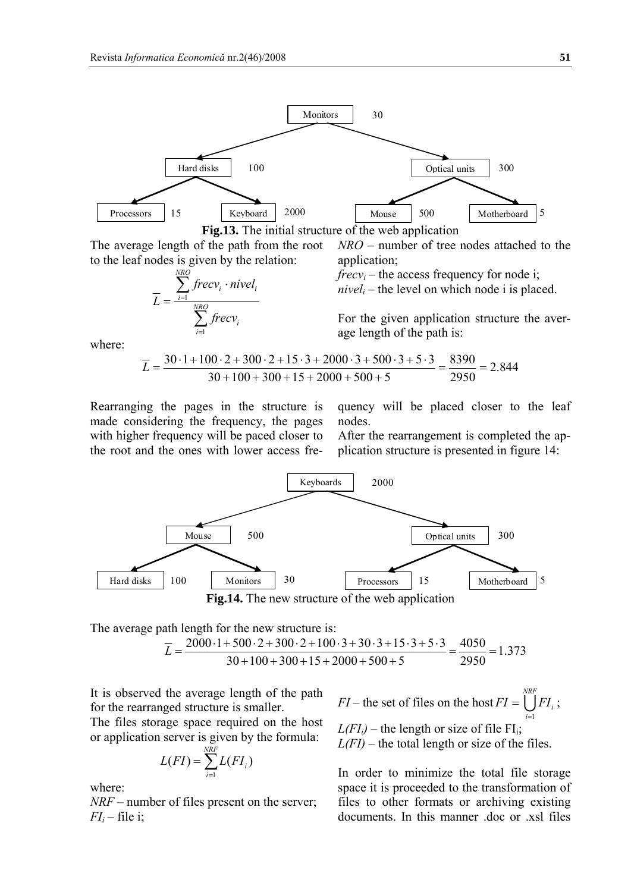

**Fig.13.** The initial structure of the web application

The average length of the path from the root to the leaf nodes is given by the relation:

$$
\overline{L} = \frac{\sum_{i=1}^{NRO} frecv_i \cdot nivel_i}{\sum_{i=1}^{NRO} frecv_i}
$$

*NRO* – number of tree nodes attached to the application;

 $frecv_i$  – the access frequency for node i;  $nivel<sub>i</sub>$  – the level on which node i is placed.

For the given application structure the average length of the path is:

where:

$$
\overline{L} = \frac{30 \cdot 1 + 100 \cdot 2 + 300 \cdot 2 + 15 \cdot 3 + 2000 \cdot 3 + 500 \cdot 3 + 5 \cdot 3}{30 + 100 + 300 + 15 + 2000 + 500 + 5} = \frac{8390}{2950} = 2.844
$$

Rearranging the pages in the structure is made considering the frequency, the pages with higher frequency will be paced closer to the root and the ones with lower access fre-

quency will be placed closer to the leaf nodes.

After the rearrangement is completed the application structure is presented in figure 14:



The average path length for the new structure is:

$$
\overline{L} = \frac{2000 \cdot 1 + 500 \cdot 2 + 300 \cdot 2 + 100 \cdot 3 + 30 \cdot 3 + 15 \cdot 3 + 5 \cdot 3}{30 + 100 + 300 + 15 + 2000 + 500 + 5} = \frac{4050}{2950} = 1.373
$$

It is observed the average length of the path for the rearranged structure is smaller.

The files storage space required on the host or application server is given by the formula:

$$
L(FI) = \sum_{i=1}^{NRF} L(FI_i)
$$

where:

*NRF* – number of files present on the server;  $FI_i$  – file i;

 $FI$  – the set of files on the host  $FI = \bigcup_{i=1}^{r}$ *NRF i*  $FI = \bigcup FI$  $=1$  $= \left[ \int F I_i \right]$ ;  $L(FI<sub>i</sub>)$  – the length or size of file FI<sub>i</sub>;  $L(FI)$  – the total length or size of the files.

In order to minimize the total file storage space it is proceeded to the transformation of files to other formats or archiving existing documents. In this manner .doc or .xsl files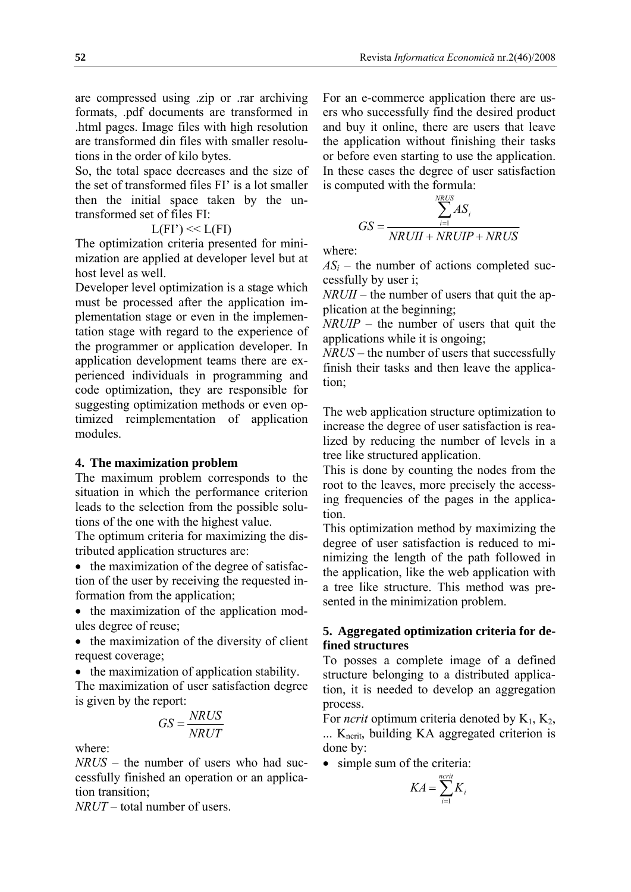are compressed using .zip or .rar archiving formats, .pdf documents are transformed in .html pages. Image files with high resolution are transformed din files with smaller resolutions in the order of kilo bytes.

So, the total space decreases and the size of the set of transformed files FI' is a lot smaller then the initial space taken by the untransformed set of files FI:

$$
L(FI') \ll L(FI)
$$

The optimization criteria presented for minimization are applied at developer level but at host level as well.

Developer level optimization is a stage which must be processed after the application implementation stage or even in the implementation stage with regard to the experience of the programmer or application developer. In application development teams there are experienced individuals in programming and code optimization, they are responsible for suggesting optimization methods or even optimized reimplementation of application modules.

## **4. The maximization problem**

The maximum problem corresponds to the situation in which the performance criterion leads to the selection from the possible solutions of the one with the highest value.

The optimum criteria for maximizing the distributed application structures are:

• the maximization of the degree of satisfaction of the user by receiving the requested information from the application;

• the maximization of the application modules degree of reuse;

• the maximization of the diversity of client request coverage;

• the maximization of application stability.

The maximization of user satisfaction degree is given by the report:

$$
GS = \frac{N R U S}{N R U T}
$$

where:

*NRUS* – the number of users who had successfully finished an operation or an application transition;

*NRUT* – total number of users.

For an e-commerce application there are users who successfully find the desired product and buy it online, there are users that leave the application without finishing their tasks or before even starting to use the application. In these cases the degree of user satisfaction is computed with the formula:

$$
GS = \frac{\sum_{i=1}^{NRUS} AS_i}{NRUII + NRUIP + NRUS}
$$

where:

 $AS_i$  – the number of actions completed successfully by user i;

*NRUII* – the number of users that quit the application at the beginning;

*NRUIP* – the number of users that quit the applications while it is ongoing;

*NRUS* – the number of users that successfully finish their tasks and then leave the application;

The web application structure optimization to increase the degree of user satisfaction is realized by reducing the number of levels in a tree like structured application.

This is done by counting the nodes from the root to the leaves, more precisely the accessing frequencies of the pages in the application.

This optimization method by maximizing the degree of user satisfaction is reduced to minimizing the length of the path followed in the application, like the web application with a tree like structure. This method was presented in the minimization problem.

# **5. Aggregated optimization criteria for defined structures**

To posses a complete image of a defined structure belonging to a distributed application, it is needed to develop an aggregation process.

For *ncrit* optimum criteria denoted by  $K_1$ ,  $K_2$ ,  $\ldots$  K<sub>ncrit</sub>, building KA aggregated criterion is done by:

• simple sum of the criteria:

$$
KA = \sum_{i=1}^{ncrit} K_i
$$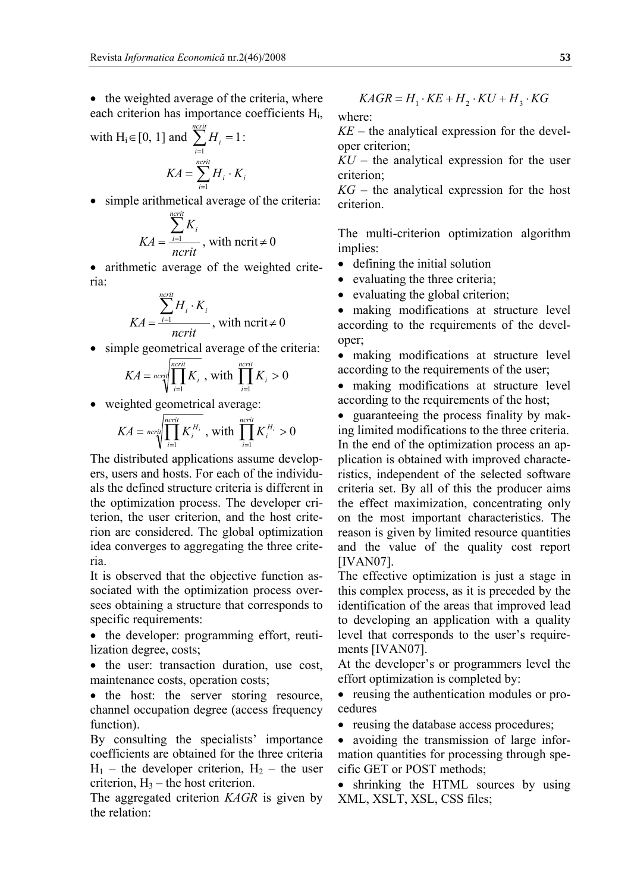• the weighted average of the criteria, where each criterion has importance coefficients Hi,

with H<sub>i</sub>  $\in$  [0, 1] and  $\sum H_i = 1$  $\sum_{i=1}^{ncrit} H_{i} =$ *i*  $H_i = 1$  : *ncrit*

$$
KA = \sum_{i=1}^{ncrit} H_i \cdot K_i
$$

• simple arithmetical average of the criteria:

$$
KA = \frac{\sum_{i=1}^{ncrit} K_i}{ncrit}
$$
, with ncrit  $\neq 0$ 

• arithmetic average of the weighted criteria:

$$
KA = \frac{\sum_{i=1}^{ncrit} H_i \cdot K_i}{ncrit}
$$
, with ncrit  $\neq 0$ 

• simple geometrical average of the criteria:

$$
KA = \text{ncrit} \prod_{i=1}^{\text{ncrit}} K_i
$$
, with 
$$
\prod_{i=1}^{\text{ncrit}} K_i > 0
$$

• weighted geometrical average:

$$
KA = \text{ncrit}\left(\prod_{i=1}^{\text{ncrit}} K_i^{H_i} , \text{with } \prod_{i=1}^{\text{ncrit}} K_i^{H_i} > 0\right)
$$

The distributed applications assume developers, users and hosts. For each of the individuals the defined structure criteria is different in the optimization process. The developer criterion, the user criterion, and the host criterion are considered. The global optimization idea converges to aggregating the three criteria.

It is observed that the objective function associated with the optimization process oversees obtaining a structure that corresponds to specific requirements:

• the developer: programming effort, reutilization degree, costs;

• the user: transaction duration, use cost, maintenance costs, operation costs;

• the host: the server storing resource, channel occupation degree (access frequency function).

By consulting the specialists' importance coefficients are obtained for the three criteria  $H_1$  – the developer criterion,  $H_2$  – the user criterion,  $H_3$  – the host criterion.

The aggregated criterion *KAGR* is given by the relation:

$$
KAGR = H_1 \cdot KE + H_2 \cdot KU + H_3 \cdot KG
$$

where:

*KE* – the analytical expression for the developer criterion;

*KU* – the analytical expression for the user criterion;

*KG* – the analytical expression for the host criterion.

The multi-criterion optimization algorithm implies:

- defining the initial solution
- evaluating the three criteria;
- evaluating the global criterion;

• making modifications at structure level according to the requirements of the developer;

• making modifications at structure level according to the requirements of the user;

• making modifications at structure level according to the requirements of the host;

• guaranteeing the process finality by making limited modifications to the three criteria. In the end of the optimization process an application is obtained with improved characteristics, independent of the selected software criteria set. By all of this the producer aims the effect maximization, concentrating only on the most important characteristics. The reason is given by limited resource quantities and the value of the quality cost report [IVAN07].

The effective optimization is just a stage in this complex process, as it is preceded by the identification of the areas that improved lead to developing an application with a quality level that corresponds to the user's requirements [IVAN07].

At the developer's or programmers level the effort optimization is completed by:

• reusing the authentication modules or procedures

• reusing the database access procedures;

• avoiding the transmission of large information quantities for processing through specific GET or POST methods;

• shrinking the HTML sources by using XML, XSLT, XSL, CSS files;